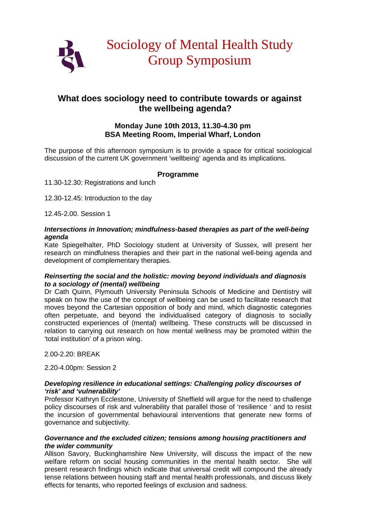

# **What does sociology need to contribute towards or against the wellbeing agenda?**

# **Monday June 10th 2013, 11.30-4.30 pm BSA Meeting Room, Imperial Wharf, London**

The purpose of this afternoon symposium is to provide a space for critical sociological discussion of the current UK government 'wellbeing' agenda and its implications.

## **Programme**

11.30-12.30: Registrations and lunch

12.30-12.45: Introduction to the day

12.45-2.00. Session 1

#### *Intersections in Innovation; mindfulness-based therapies as part of the well-being agenda*

Kate Spiegelhalter, PhD Sociology student at University of Sussex, will present her research on mindfulness therapies and their part in the national well-being agenda and development of complementary therapies.

#### *Reinserting the social and the holistic: moving beyond individuals and diagnosis to a sociology of (mental) wellbeing*

Dr Cath Quinn, Plymouth University Peninsula Schools of Medicine and Dentistry will speak on how the use of the concept of wellbeing can be used to facilitate research that moves beyond the Cartesian opposition of body and mind, which diagnostic categories often perpetuate, and beyond the individualised category of diagnosis to socially constructed experiences of (mental) wellbeing. These constructs will be discussed in relation to carrying out research on how mental wellness may be promoted within the 'total institution' of a prison wing.

2.00-2.20: BREAK

2.20-4.00pm: Session 2

#### *Developing resilience in educational settings: Challenging policy discourses of 'risk' and 'vulnerability'*

Professor Kathryn Ecclestone, University of Sheffield will argue for the need to challenge policy discourses of risk and vulnerability that parallel those of 'resilience ' and to resist the incursion of governmental behavioural interventions that generate new forms of governance and subjectivity*.*

#### *Governance and the excluded citizen; tensions among housing practitioners and the wider community*

Allison Savory, Buckinghamshire New University, will discuss the impact of the new welfare reform on social housing communities in the mental health sector. She will present research findings which indicate that universal credit will compound the already tense relations between housing staff and mental health professionals, and discuss likely effects for tenants, who reported feelings of exclusion and sadness.